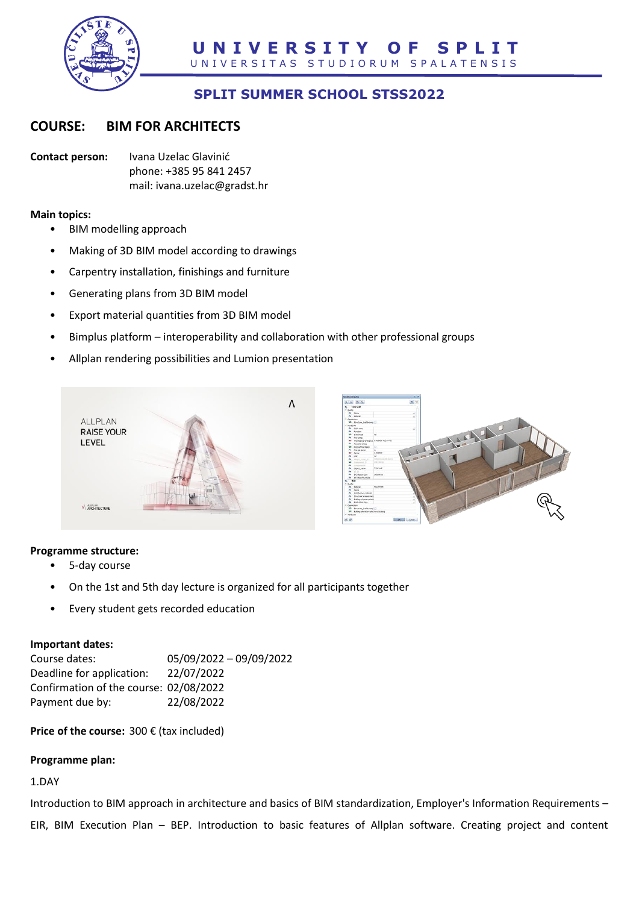

# **SPLIT SUMMER SCHOOL STSS2022**

## **COURSE: BIM FOR ARCHITECTS**

**Contact person:** Ivana Uzelac Glavinić phone: +385 95 841 2457 mail: ivana.uzelac@gradst.hr

#### **Main topics:**

- BIM modelling approach
- Making of 3D BIM model according to drawings
- Carpentry installation, finishings and furniture
- Generating plans from 3D BIM model
- Export material quantities from 3D BIM model
- Bimplus platform interoperability and collaboration with other professional groups
- Allplan rendering possibilities and Lumion presentation





### **Programme structure:**

- 5-day course
- On the 1st and 5th day lecture is organized for all participants together
- Every student gets recorded education

### **Important dates:**

| Course dates:                          | 05/09/2022 - 09/09/2022 |
|----------------------------------------|-------------------------|
| Deadline for application:              | 22/07/2022              |
| Confirmation of the course: 02/08/2022 |                         |
| Payment due by:                        | 22/08/2022              |

**Price of the course:** 300 € (tax included)

### **Programme plan:**

## 1.DAY

Introduction to BIM approach in architecture and basics of BIM standardization, Employer's Information Requirements – EIR, BIM Execution Plan – BEP. Introduction to basic features of Allplan software. Creating project and content